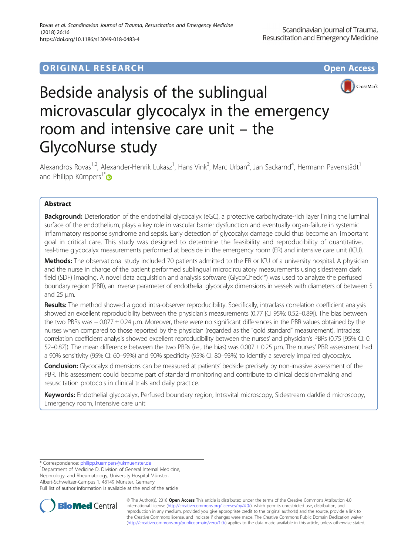# **ORIGINAL RESEARCH CONSUMING ACCESS**





# Bedside analysis of the sublingual microvascular glycocalyx in the emergency room and intensive care unit – the GlycoNurse study

Alexandros Rovas<sup>1,2</sup>, Alexander-Henrik Lukasz<sup>1</sup>, Hans Vink<sup>3</sup>, Marc Urban<sup>2</sup>, Jan Sackarnd<sup>4</sup>, Hermann Pavenstädt<sup>1</sup> and Philipp Kümpers<sup>1\*</sup> $\bullet$ 

## Abstract

**Background:** Deterioration of the endothelial glycocalyx (eGC), a protective carbohydrate-rich layer lining the luminal surface of the endothelium, plays a key role in vascular barrier dysfunction and eventually organ-failure in systemic inflammatory response syndrome and sepsis. Early detection of glycocalyx damage could thus become an important goal in critical care. This study was designed to determine the feasibility and reproducibility of quantitative, real-time glycocalyx measurements performed at bedside in the emergency room (ER) and intensive care unit (ICU).

Methods: The observational study included 70 patients admitted to the ER or ICU of a university hospital. A physician and the nurse in charge of the patient performed sublingual microcirculatory measurements using sidestream dark field (SDF) imaging. A novel data acquisition and analysis software (GlycoCheck™) was used to analyze the perfused boundary region (PBR), an inverse parameter of endothelial glycocalyx dimensions in vessels with diameters of between 5 and 25 μm.

Results: The method showed a good intra-observer reproducibility. Specifically, intraclass correlation coefficient analysis showed an excellent reproducibility between the physician's measurements (0.77 [CI 95%: 0.52–0.89]). The bias between the two PBRs was − 0.077 ± 0.24 μm. Moreover, there were no significant differences in the PBR values obtained by the nurses when compared to those reported by the physician (regarded as the "gold standard" measurement). Intraclass correlation coefficient analysis showed excellent reproducibility between the nurses' and physician's PBRs (0.75 [95% CI: 0. 52–0.87]). The mean difference between the two PBRs (i.e., the bias) was  $0.007 \pm 0.25$  µm. The nurses' PBR assessment had a 90% sensitivity (95% CI: 60–99%) and 90% specificity (95% CI: 80–93%) to identify a severely impaired glycocalyx.

**Conclusion:** Glycocalyx dimensions can be measured at patients' bedside precisely by non-invasive assessment of the PBR. This assessment could become part of standard monitoring and contribute to clinical decision-making and resuscitation protocols in clinical trials and daily practice.

Keywords: Endothelial glycocalyx, Perfused boundary region, Intravital microscopy, Sidestream darkfield microscopy, Emergency room, Intensive care unit

\* Correspondence: [philipp.kuempers@ukmuenster.de](mailto:philipp.kuempers@ukmuenster.de) <sup>1</sup>

<sup>1</sup>Department of Medicine D, Division of General Internal Medicine, Nephrology, and Rheumatology, University Hospital Münster, Albert-Schweitzer-Campus 1, 48149 Münster, Germany

Full list of author information is available at the end of the article



© The Author(s). 2018 Open Access This article is distributed under the terms of the Creative Commons Attribution 4.0 International License [\(http://creativecommons.org/licenses/by/4.0/](http://creativecommons.org/licenses/by/4.0/)), which permits unrestricted use, distribution, and reproduction in any medium, provided you give appropriate credit to the original author(s) and the source, provide a link to the Creative Commons license, and indicate if changes were made. The Creative Commons Public Domain Dedication waiver [\(http://creativecommons.org/publicdomain/zero/1.0/](http://creativecommons.org/publicdomain/zero/1.0/)) applies to the data made available in this article, unless otherwise stated.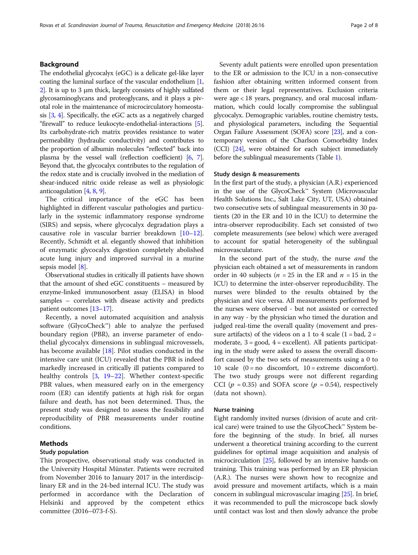## Background

The endothelial glycocalyx (eGC) is a delicate gel-like layer coating the luminal surface of the vascular endothelium [[1](#page-6-0), [2](#page-6-0)]. It is up to 3 μm thick, largely consists of highly sulfated glycosaminoglycans and proteoglycans, and it plays a pivotal role in the maintenance of microcirculatory homeostasis [[3](#page-6-0), [4](#page-6-0)]. Specifically, the eGC acts as a negatively charged "firewall" to reduce leukocyte-endothelial-interactions [[5](#page-6-0)]. Its carbohydrate-rich matrix provides resistance to water permeability (hydraulic conductivity) and contributes to the proportion of albumin molecules "reflected" back into plasma by the vessel wall (reflection coefficient) [\[6](#page-6-0), [7](#page-6-0)]. Beyond that, the glycocalyx contributes to the regulation of the redox state and is crucially involved in the mediation of shear-induced nitric oxide release as well as physiologic anticoagulation [[4](#page-6-0), [8,](#page-6-0) [9](#page-7-0)].

The critical importance of the eGC has been highlighted in different vascular pathologies and particularly in the systemic inflammatory response syndrome (SIRS) and sepsis, where glycocalyx degradation plays a causative role in vascular barrier breakdown [[10](#page-7-0)–[12](#page-7-0)]. Recently, Schmidt et al. elegantly showed that inhibition of enzymatic glycocalyx digestion completely abolished acute lung injury and improved survival in a murine sepsis model [[8\]](#page-6-0).

Observational studies in critically ill patients have shown that the amount of shed eGC constituents – measured by enzyme-linked immunosorbent assay (ELISA) in blood samples – correlates with disease activity and predicts patient outcomes [\[13](#page-7-0)–[17](#page-7-0)].

Recently, a novel automated acquisition and analysis software (GlycoCheck™) able to analyze the perfused boundary region (PBR), an inverse parameter of endothelial glycocalyx dimensions in sublingual microvessels, has become available [\[18](#page-7-0)]. Pilot studies conducted in the intensive care unit (ICU) revealed that the PBR is indeed markedly increased in critically ill patients compared to healthy controls [[3](#page-6-0), [19](#page-7-0)–[22](#page-7-0)]. Whether context-specific PBR values, when measured early on in the emergency room (ER) can identify patients at high risk for organ failure and death, has not been determined. Thus, the present study was designed to assess the feasibility and reproducibility of PBR measurements under routine conditions.

## Methods

### Study population

This prospective, observational study was conducted in the University Hospital Münster. Patients were recruited from November 2016 to January 2017 in the interdisciplinary ER and in the 24-bed internal ICU. The study was performed in accordance with the Declaration of Helsinki and approved by the competent ethics committee (2016–073-f-S).

Seventy adult patients were enrolled upon presentation to the ER or admission to the ICU in a non-consecutive fashion after obtaining written informed consent from them or their legal representatives. Exclusion criteria were age < 18 years, pregnancy, and oral mucosal inflammation, which could locally compromise the sublingual glycocalyx. Demographic variables, routine chemistry tests, and physiological parameters, including the Sequential Organ Failure Assessment (SOFA) score [[23](#page-7-0)], and a contemporary version of the Charlson Comorbidity Index (CCI) [\[24\]](#page-7-0), were obtained for each subject immediately before the sublingual measurements (Table [1](#page-2-0)).

## Study design & measurements

In the first part of the study, a physician (A.R.) experienced in the use of the GlycoCheck™ System (Microvascular Health Solutions Inc., Salt Lake City, UT, USA) obtained two consecutive sets of sublingual measurements in 30 patients (20 in the ER and 10 in the ICU) to determine the intra-observer reproducibility. Each set consisted of two complete measurements (see below) which were averaged to account for spatial heterogeneity of the sublingual microvasculature.

In the second part of the study, the nurse *and* the physician each obtained a set of measurements in random order in 40 subjects ( $n = 25$  in the ER and  $n = 15$  in the ICU) to determine the inter-observer reproducibility. The nurses were blinded to the results obtained by the physician and vice versa. All measurements performed by the nurses were observed - but not assisted or corrected in any way - by the physician who timed the duration and judged real-time the overall quality (movement and pressure artifacts) of the videos on a 1 to 4 scale  $(1 = bad, 2 =$ moderate,  $3 = \text{good}$ ,  $4 = \text{excellent}$ . All patients participating in the study were asked to assess the overall discomfort caused by the two sets of measurements using a 0 to 10 scale  $(0 = no$  discomfort,  $10 =$  extreme discomfort). The two study groups were not different regarding CCI ( $p = 0.35$ ) and SOFA score ( $p = 0.54$ ), respectively (data not shown).

## Nurse training

Eight randomly invited nurses (division of acute and critical care) were trained to use the GlycoCheck™ System before the beginning of the study. In brief, all nurses underwent a theoretical training according to the current guidelines for optimal image acquisition and analysis of microcirculation [[25](#page-7-0)], followed by an intensive hands-on training. This training was performed by an ER physician (A.R.). The nurses were shown how to recognize and avoid pressure and movement artifacts, which is a main concern in sublingual microvascular imaging [[25](#page-7-0)]. In brief, it was recommended to pull the microscope back slowly until contact was lost and then slowly advance the probe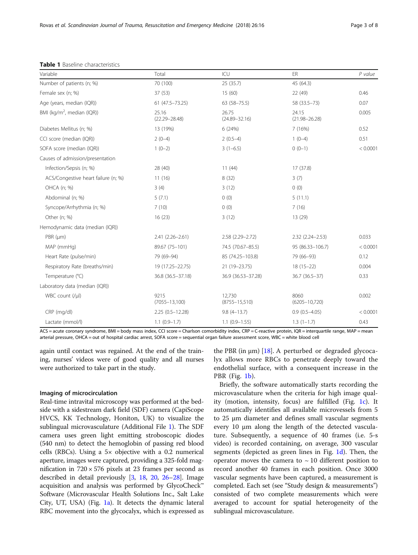| Variable                               | Total                      | ICU                          | ER                         | P value  |
|----------------------------------------|----------------------------|------------------------------|----------------------------|----------|
| Number of patients (n; %)              | 70 (100)                   | 25 (35.7)                    | 45 (64.3)                  |          |
| Female sex (n; %)                      | 37(53)                     | 15(60)                       | 22 (49)                    | 0.46     |
| Age (years, median (IQR))              | $61(47.5 - 73.25)$         | $63(58 - 75.5)$              | 58 (33.5 - 73)             | 0.07     |
| BMI (kg/m <sup>2</sup> , median (IQR)) | 25.16<br>$(22.29 - 28.48)$ | 26.75<br>$(24.89 - 32.16)$   | 24.15<br>$(21.98 - 26.28)$ | 0.005    |
| Diabetes Mellitus (n; %)               | 13 (19%)                   | 6(24%)                       | 7 (16%)                    | 0.52     |
| CCI score (median (IQR))               | $2(0-4)$                   | $2(0.5-4)$                   | $1(0-4)$                   | 0.51     |
| SOFA score (median (IQR))              | $1(0-2)$                   | $3(1-6.5)$                   | $0(0-1)$                   | < 0.0001 |
| Causes of admission/presentation       |                            |                              |                            |          |
| Infection/Sepsis (n; %)                | 28 (40)                    | 11(44)                       | 17 (37.8)                  |          |
| ACS/Congestive heart failure (n; %)    | 11(16)                     | 8(32)                        | 3(7)                       |          |
| OHCA (n; %)                            | 3(4)                       | 3(12)                        | 0(0)                       |          |
| Abdominal (n; %)                       | 5(7.1)                     | 0(0)                         | 5(11.1)                    |          |
| Syncope/Arrhythmia (n; %)              | 7(10)                      | 0(0)                         | 7(16)                      |          |
| Other (n; %)                           | 16(23)                     | 3(12)                        | 13 (29)                    |          |
| Hemodynamic data (median (IQR))        |                            |                              |                            |          |
| $PBR$ ( $µm$ )                         | $2.41(2.26 - 2.61)$        | 2.58 (2.29-2.72)             | $2.32(2.24 - 2.53)$        | 0.033    |
| MAP (mmHq)                             | 89.67 (75-101)             | 74.5 (70.67-85.5)            | 95 (86.33-106.7)           | < 0.0001 |
| Heart Rate (pulse/min)                 | 79 (69-94)                 | 85 (74.25-103.8)             | 79 (66-93)                 | 0.12     |
| Respiratory Rate (breaths/min)         | 19 (17.25 - 22.75)         | 21 (19 - 23.75)              | $18(15-22)$                | 0.004    |
| Temperature (°C)                       | 36.8 (36.5-37.18)          | 36.9 (36.53-37.28)           | $36.7 (36.5 - 37)$         | 0.33     |
| Laboratory data (median (IQR))         |                            |                              |                            |          |
| WBC count $(yµ)$                       | 9215<br>$(7055 - 13, 100)$ | 12.730<br>$(8755 - 15, 510)$ | 8060<br>$(6205 - 10, 720)$ | 0.002    |
| CRP (mg/dl)                            | $2.25(0.5 - 12.28)$        | $9.8(4-13.7)$                | $0.9(0.5 - 4.05)$          | < 0.0001 |
| Lactate (mmol/l)                       | $1.1(0.9-1.7)$             | $1.1(0.9-1.55)$              | $1.3(1-1.7)$               | 0.43     |

## <span id="page-2-0"></span>Table 1 Baseline characteristics

ACS = acute coronary syndrome, BMI = body mass index, CCI score = Charlson comorbidity index, CRP = C-reactive protein, IQR = interquartile range, MAP = mean arterial pressure, OHCA = out of hospital cardiac arrest, SOFA score = sequential organ failure assessment score, WBC = white blood cell

again until contact was regained. At the end of the training, nurses' videos were of good quality and all nurses were authorized to take part in the study.

## Imaging of microcirculation

Real-time intravital microscopy was performed at the bedside with a sidestream dark field (SDF) camera (CapiScope HVCS, KK Technology, Honiton, UK) to visualize the sublingual microvasculature (Additional File [1](#page-6-0)). The SDF camera uses green light emitting stroboscopic diodes (540 nm) to detect the hemoglobin of passing red blood cells (RBCs). Using a  $5\times$  objective with a 0.2 numerical aperture, images were captured, providing a 325-fold magnification in  $720 \times 576$  pixels at 23 frames per second as described in detail previously [[3,](#page-6-0) [18,](#page-7-0) [20](#page-7-0), [26](#page-7-0)–[28](#page-7-0)]. Image acquisition and analysis was performed by GlycoCheck™ Software (Microvascular Health Solutions Inc., Salt Lake City, UT, USA) (Fig. [1a\)](#page-3-0). It detects the dynamic lateral RBC movement into the glycocalyx, which is expressed as

the PBR (in  $\mu$ m) [[18](#page-7-0)]. A perturbed or degraded glycocalyx allows more RBCs to penetrate deeply toward the endothelial surface, with a consequent increase in the PBR (Fig. [1b\)](#page-3-0).

Briefly, the software automatically starts recording the microvasculature when the criteria for high image quality (motion, intensity, focus) are fulfilled (Fig. [1c](#page-3-0)). It automatically identifies all available microvessels from 5 to 25 μm diameter and defines small vascular segments every 10 μm along the length of the detected vasculature. Subsequently, a sequence of 40 frames (i.e. 5-s video) is recorded containing, on average, 300 vascular segments (depicted as green lines in Fig. [1d](#page-3-0)). Then, the operator moves the camera to  $\sim$  10 different position to record another 40 frames in each position. Once 3000 vascular segments have been captured, a measurement is completed. Each set (see "Study design & measurements") consisted of two complete measurements which were averaged to account for spatial heterogeneity of the sublingual microvasculature.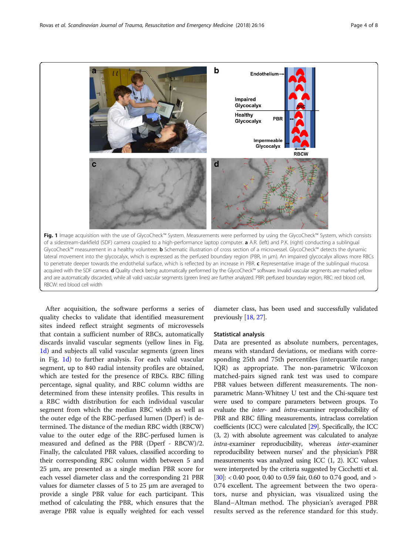<span id="page-3-0"></span>

After acquisition, the software performs a series of quality checks to validate that identified measurement sites indeed reflect straight segments of microvessels that contain a sufficient number of RBCs, automatically discards invalid vascular segments (yellow lines in Fig. 1d) and subjects all valid vascular segments (green lines in Fig. 1d) to further analysis. For each valid vascular segment, up to 840 radial intensity profiles are obtained, which are tested for the presence of RBCs. RBC filling percentage, signal quality, and RBC column widths are determined from these intensity profiles. This results in a RBC width distribution for each individual vascular segment from which the median RBC width as well as the outer edge of the RBC-perfused lumen (Dperf) is determined. The distance of the median RBC width (RBCW) value to the outer edge of the RBC-perfused lumen is measured and defined as the PBR (Dperf - RBCW)/2. Finally, the calculated PBR values, classified according to their corresponding RBC column width between 5 and 25 μm, are presented as a single median PBR score for each vessel diameter class and the corresponding 21 PBR values for diameter classes of 5 to 25 μm are averaged to provide a single PBR value for each participant. This method of calculating the PBR, which ensures that the average PBR value is equally weighted for each vessel

diameter class, has been used and successfully validated previously [\[18,](#page-7-0) [27](#page-7-0)].

### Statistical analysis

Data are presented as absolute numbers, percentages, means with standard deviations, or medians with corresponding 25th and 75th percentiles (interquartile range; IQR) as appropriate. The non-parametric Wilcoxon matched-pairs signed rank test was used to compare PBR values between different measurements. The nonparametric Mann-Whitney U test and the Chi-square test were used to compare parameters between groups. To evaluate the inter- and intra-examiner reproducibility of PBR and RBC filling measurements, intraclass correlation coefficients (ICC) were calculated  $[29]$ . Specifically, the ICC (3, 2) with absolute agreement was calculated to analyze intra-examiner reproducibility, whereas inter-examiner reproducibility between nurses' and the physician's PBR measurements was analyzed using ICC (1, 2). ICC values were interpreted by the criteria suggested by Cicchetti et al.  $[30]$  $[30]$  $[30]$ : < 0.40 poor, 0.40 to 0.59 fair, 0.60 to 0.74 good, and > 0.74 excellent. The agreement between the two operators, nurse and physician, was visualized using the Bland–Altman method. The physician's averaged PBR results served as the reference standard for this study.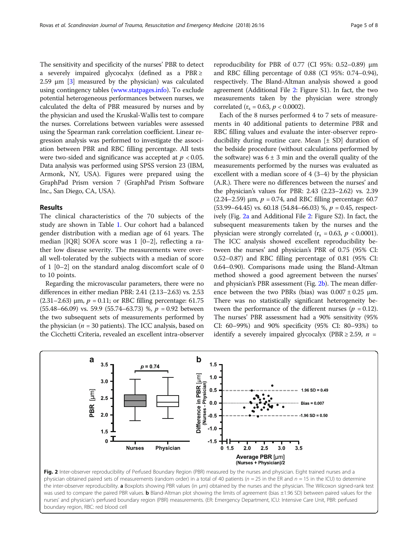The sensitivity and specificity of the nurses' PBR to detect a severely impaired glycocalyx (defined as a PBR $\ge$ 2.59 μm [[3\]](#page-6-0) measured by the physician) was calculated using contingency tables [\(www.statpages.info\)](http://www.statpages.info). To exclude potential heterogeneous performances between nurses, we calculated the delta of PBR measured by nurses and by the physician and used the Kruskal-Wallis test to compare the nurses. Correlations between variables were assessed using the Spearman rank correlation coefficient. Linear regression analysis was performed to investigate the association between PBR and RBC filling percentage. All tests were two-sided and significance was accepted at  $p < 0.05$ . Data analysis was performed using SPSS version 23 (IBM, Armonk, NY, USA). Figures were prepared using the GraphPad Prism version 7 (GraphPad Prism Software Inc., San Diego, CA, USA).

## Results

The clinical characteristics of the 70 subjects of the study are shown in Table [1](#page-2-0). Our cohort had a balanced gender distribution with a median age of 61 years. The median [IQR] SOFA score was 1 [0–2], reflecting a rather low disease severity. The measurements were overall well-tolerated by the subjects with a median of score of 1 [0–2] on the standard analog discomfort scale of 0 to 10 points.

Regarding the microvascular parameters, there were no differences in either median PBR: 2.41 (2.13–2.63) vs. 2.53 (2.31–2.63) μm,  $p = 0.11$ ; or RBC filling percentage: 61.75  $(55.48-66.09)$  vs. 59.9  $(55.74-63.73)$  %,  $p = 0.92$  between the two subsequent sets of measurements performed by the physician ( $n = 30$  patients). The ICC analysis, based on the Cicchetti Criteria, revealed an excellent intra-observer reproducibility for PBR of 0.77 (CI 95%: 0.52–0.89) μm and RBC filling percentage of 0.88 (CI 95%: 0.74–0.94), respectively. The Bland-Altman analysis showed a good agreement (Additional File [2:](#page-6-0) Figure S1). In fact, the two measurements taken by the physician were strongly correlated ( $r_s = 0.63$ ,  $p < 0.0002$ ).

Each of the 8 nurses performed 4 to 7 sets of measurements in 40 additional patients to determine PBR and RBC filling values and evaluate the inter-observer reproducibility during routine care. Mean  $[\pm SD]$  duration of the bedside procedure (without calculations performed by the software) was  $6 \pm 3$  min and the overall quality of the measurements performed by the nurses was evaluated as excellent with a median score of 4 (3–4) by the physician (A.R.). There were no differences between the nurses' and the physician's values for PBR: 2.43 (2.23–2.62) vs. 2.39  $(2.24-2.59)$  µm,  $p = 0.74$ , and RBC filling percentage: 60.7  $(53.99-64.45)$  vs. 60.18  $(54.84-66.03)$  %,  $p = 0.45$ , respectively (Fig. 2a and Additional File [2](#page-6-0): Figure S2). In fact, the subsequent measurements taken by the nurses and the physician were strongly correlated ( $r_s = 0.63$ ,  $p < 0.0001$ ). The ICC analysis showed excellent reproducibility between the nurses' and physician's PBR of 0.75 (95% CI: 0.52–0.87) and RBC filling percentage of 0.81 (95% CI: 0.64–0.90). Comparisons made using the Bland-Altman method showed a good agreement between the nurses' and physician's PBR assessment (Fig. 2b). The mean difference between the two PBRs (bias) was  $0.007 \pm 0.25$  µm. There was no statistically significant heterogeneity between the performance of the different nurses ( $p = 0.12$ ). The nurses' PBR assessment had a 90% sensitivity (95% CI: 60–99%) and 90% specificity (95% CI: 80–93%) to identify a severely impaired glycocalyx (PBR  $\geq$  2.59,  $n =$ 



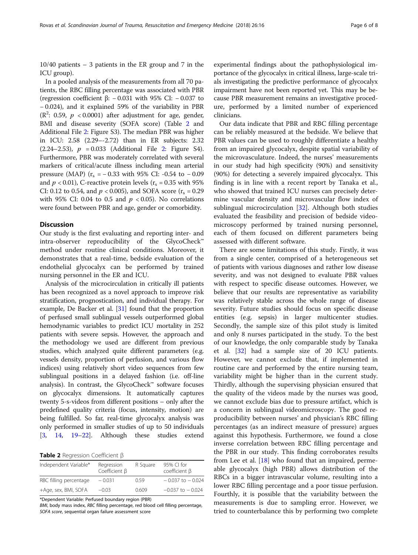10/40 patients – 3 patients in the ER group and 7 in the ICU group).

In a pooled analysis of the measurements from all 70 patients, the RBC filling percentage was associated with PBR (regression coefficient β:  $-0.031$  with 95% CI:  $-0.037$  to − 0.024), and it explained 59% of the variability in PBR ( $\mathbb{R}^2$ : 0.59,  $p < 0.0001$ ) after adjustment for age, gender, BMI and disease severity (SOFA score) (Table 2 and Additional File [2](#page-6-0): Figure S3). The median PBR was higher in ICU: 2.58 (2.29–-2.72) than in ER subjects: 2.32 ([2](#page-6-0).24–2.53),  $p = 0.033$  (Additional File 2: Figure S4). Furthermore, PBR was moderately correlated with several markers of critical/acute illness including mean arterial pressure (MAP) ( $r_s$  = −0.33 with 95% CI: -0.54 to −0.09 and  $p < 0.01$ ), C-reactive protein levels ( $r_s = 0.35$  with 95% CI: 0.12 to 0.54, and  $p < 0.005$ ), and SOFA score ( $r_s = 0.29$ ) with 95% CI: 0.04 to 0.5 and  $p < 0.05$ ). No correlations were found between PBR and age, gender or comorbidity.

## **Discussion**

Our study is the first evaluating and reporting inter- and intra-observer reproducibility of the GlycoCheck™ method under routine clinical conditions. Moreover, it demonstrates that a real-time, bedside evaluation of the endothelial glycocalyx can be performed by trained nursing personnel in the ER and ICU.

Analysis of the microcirculation in critically ill patients has been recognized as a novel approach to improve risk stratification, prognostication, and individual therapy. For example, De Backer et al. [\[31\]](#page-7-0) found that the proportion of perfused small sublingual vessels outperformed global hemodynamic variables to predict ICU mortality in 252 patients with severe sepsis. However, the approach and the methodology we used are different from previous studies, which analyzed quite different parameters (e.g. vessels density, proportion of perfusion, and various flow indices) using relatively short video sequences from few sublingual positions in a delayed fashion (i.e. off-line analysis). In contrast, the GlycoCheck™ software focuses on glycocalyx dimensions. It automatically captures twenty 5-s-videos from different positions – only after the predefined quality criteria (focus, intensity, motion) are being fulfilled. So far, real-time glycocalyx analysis was only performed in smaller studies of up to 50 individuals [[3,](#page-6-0) [14,](#page-7-0) [19](#page-7-0)–[22](#page-7-0)]. Although these studies extend

Table 2 Regression Coefficient β

| Independent Variable*  | Regression<br>Coefficient $\beta$ | R Square | 95% CI for<br>coefficient <sub>B</sub> |
|------------------------|-----------------------------------|----------|----------------------------------------|
| RBC filling percentage | $-0.031$                          | 0.59     | $-0.037$ to $-0.024$                   |
| +Age, sex, BMI, SOFA   | $-0.03$                           | 0.609    | $-0.037$ to $-0.024$                   |

\*Dependent Variable: Perfused boundary region (PBR)

BMI, body mass index, RBC filling percentage, red blood cell filling percentage, SOFA score, sequential organ failure assessment score

experimental findings about the pathophysiological importance of the glycocalyx in critical illness, large-scale trials investigating the predictive performance of glycocalyx impairment have not been reported yet. This may be because PBR measurement remains an investigative procedure, performed by a limited number of experienced clinicians.

Our data indicate that PBR and RBC filling percentage can be reliably measured at the bedside. We believe that PBR values can be used to roughly differentiate a healthy from an impaired glycocalyx, despite spatial variability of the microvasculature. Indeed, the nurses' measurements in our study had high specificity (90%) and sensitivity (90%) for detecting a severely impaired glycocalyx. This finding is in line with a recent report by Tanaka et al., who showed that trained ICU nurses can precisely determine vascular density and microvascular flow index of sublingual microcirculation [\[32](#page-7-0)]. Although both studies evaluated the feasibility and precision of bedside videomicroscopy performed by trained nursing personnel, each of them focused on different parameters being assessed with different software.

There are some limitations of this study. Firstly, it was from a single center, comprised of a heterogeneous set of patients with various diagnoses and rather low disease severity, and was not designed to evaluate PBR values with respect to specific disease outcomes. However, we believe that our results are representative as variability was relatively stable across the whole range of disease severity. Future studies should focus on specific disease entities (e.g. sepsis) in larger multicenter studies. Secondly, the sample size of this pilot study is limited and only 8 nurses participated in the study. To the best of our knowledge, the only comparable study by Tanaka et al. [\[32](#page-7-0)] had a sample size of 20 ICU patients. However, we cannot exclude that, if implemented in routine care and performed by the entire nursing team, variability might be higher than in the current study. Thirdly, although the supervising physician ensured that the quality of the videos made by the nurses was good, we cannot exclude bias due to pressure artifact, which is a concern in sublingual videomicroscopy. The good reproducibility between nurses' and physician's RBC filling percentages (as an indirect measure of pressure) argues against this hypothesis. Furthermore, we found a close inverse correlation between RBC filling percentage and the PBR in our study. This finding corroborates results from Lee et al. [[18](#page-7-0)] who found that an impaired, permeable glycocalyx (high PBR) allows distribution of the RBCs in a bigger intravascular volume, resulting into a lower RBC filling percentage and a poor tissue perfusion. Fourthly, it is possible that the variability between the measurements is due to sampling error. However, we tried to counterbalance this by performing two complete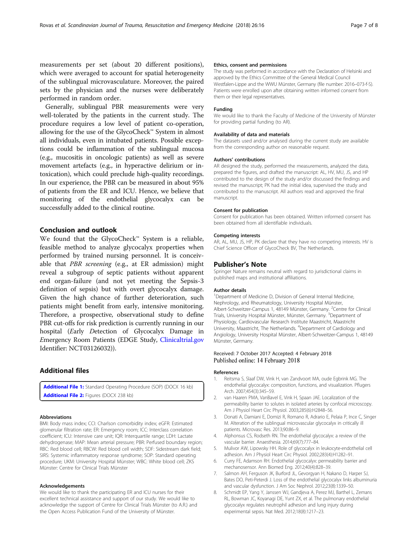<span id="page-6-0"></span>measurements per set (about 20 different positions), which were averaged to account for spatial heterogeneity of the sublingual microvasculature. Moreover, the paired sets by the physician and the nurses were deliberately performed in random order.

Generally, sublingual PBR measurements were very well-tolerated by the patients in the current study. The procedure requires a low level of patient co-operation, allowing for the use of the GlycoCheck™ System in almost all individuals, even in intubated patients. Possible exceptions could be inflammation of the sublingual mucosa (e.g., mucositis in oncologic patients) as well as severe movement artefacts (e.g., in hyperactive delirium or intoxication), which could preclude high-quality recordings. In our experience, the PBR can be measured in about 95% of patients from the ER and ICU. Hence, we believe that monitoring of the endothelial glycocalyx can be successfully added to the clinical routine.

## Conclusion and outlook

We found that the GlycoCheck™ System is a reliable, feasible method to analyze glycocalyx properties when performed by trained nursing personnel. It is conceivable that PBR screening (e.g., at ER admission) might reveal a subgroup of septic patients without apparent end organ-failure (and not yet meeting the Sepsis-3 definition of sepsis) but with overt glycocalyx damage. Given the high chance of further deterioration, such patients might benefit from early, intensive monitoring. Therefore, a prospective, observational study to define PBR cut-offs for risk prediction is currently running in our hospital (Early Detection of Glycocalyx Damage in Emergency Room Patients (EDGE Study, [Clinicaltrial.gov](http://clinicaltrial.gov) Identifier: NCT03126032)).

## Additional files

[Additional File 1:](https://doi.org/10.1186/s13049-018-0483-4) Standard Operating Procedure (SOP) (DOCX 16 kb) [Additional File 2:](https://doi.org/10.1186/s13049-018-0483-4) Figures (DOCX 238 kb)

#### Abbreviations

BMI: Body mass index; CCI: Charlson comorbidity index; eGFR: Estimated glomerular filtration rate; ER: Emergency room; ICC: Interclass correlation coefficient; ICU: Intensive care unit; IQR: Interquartile range; LDH: Lactate dehydrogenase; MAP: Mean arterial pressure; PBR: Perfused boundary region; RBC: Red blood cell; RBCW: Red blood cell width; SDF: Sidestream dark field; SIRS: Systemic inflammatory response syndrome; SOP: Standard operating procedure; UKM: University Hospital Münster; WBC: White blood cell; ZKS Münster: Centre for Clinical Trials Münster

#### Acknowledgements

We would like to thank the participating ER and ICU nurses for their excellent technical assistance and support of our study. We would like to acknowledge the support of Centre for Clinical Trials Münster (to A.R.) and the Open Access Publication Fund of the University of Münster.

#### Ethics, consent and permissions

The study was performed in accordance with the Declaration of Helsinki and approved by the Ethics Committee of the General Medical Council Westfalen-Lippe and the WWU Münster, Germany (file number: 2016–073-f-S). Patients were enrolled upon after obtaining written informed consent from them or their legal representatives.

#### Funding

We would like to thank the Faculty of Medicine of the University of Münster for providing partial funding (to AR).

#### Availability of data and materials

The datasets used and/or analysed during the current study are available from the corresponding author on reasonable request.

#### Authors' contributions

AR designed the study, performed the measurements, analyzed the data, prepared the figures, and drafted the manuscript: AL, HV, MU, JS, and HP contributed to the design of the study and/or discussed the findings and revised the manuscript; PK had the initial idea, supervised the study and contributed to the manuscript. All authors read and approved the final manuscript.

#### Consent for publication

Consent for publication has been obtained. Written informed consent has been obtained from all identifiable individuals.

#### Competing interests

AR, AL, MU, JS, HP, PK declare that they have no competing interests. HV is Chief Science Officer of GlycoCheck BV, The Netherlands.

#### Publisher's Note

Springer Nature remains neutral with regard to jurisdictional claims in published maps and institutional affiliations.

#### Author details

<sup>1</sup>Department of Medicine D, Division of General Internal Medicine, Nephrology, and Rheumatology, University Hospital Münster, Albert-Schweitzer-Campus 1, 48149 Münster, Germany. <sup>2</sup>Centre for Clinical Trials, University Hospital Münster, Münster, Germany. <sup>3</sup>Department of Physiology, Cardiovascular Research Institute Maastricht, Maastricht University, Maastricht, The Netherlands. <sup>4</sup>Department of Cardiology and Angiology, University Hospital Münster, Albert-Schweitzer-Campus 1, 48149 Münster, Germany.

## Received: 7 October 2017 Accepted: 4 February 2018 Published online: 14 February 2018

#### References

- 1. Reitsma S, Slaaf DW, Vink H, van Zandvoort MA, oude Egbrink MG. The endothelial glycocalyx: composition, functions, and visualization. Pflugers Arch. 2007;454(3):345–59.
- 2. van Haaren PMA, VanBavel E, Vink H, Spaan JAE. Localization of the permeability barrier to solutes in isolated arteries by confocal microscopy. Am J Physiol Heart Circ Physiol. 2003;285(6):H2848–56.
- 3. Donati A, Damiani E, Domizi R, Romano R, Adrario E, Pelaia P, Ince C, Singer M. Alteration of the sublingual microvascular glycocalyx in critically ill patients. Microvasc Res. 2013;90:86–9.
- 4. Alphonsus CS, Rodseth RN. The endothelial glycocalyx: a review of the vascular barrier. Anaesthesia. 2014;69(7):777–84.
- 5. Mulivor AW, Lipowsky HH. Role of glycocalyx in leukocyte-endothelial cell adhesion. Am J Physiol Heart Circ Physiol. 2002;283(4):H1282–91.
- 6. Curry FE, Adamson RH. Endothelial glycocalyx: permeability barrier and mechanosensor. Ann Biomed Eng. 2012;40(4):828–39.
- 7. Salmon AH, Ferguson JK, Burford JL, Gevorgyan H, Nakano D, Harper SJ, Bates DO, Peti-Peterdi J. Loss of the endothelial glycocalyx links albuminuria and vascular dysfunction. J Am Soc Nephrol. 2012;23(8):1339–50.
- 8. Schmidt EP, Yang Y, Janssen WJ, Gandjeva A, Perez MJ, Barthel L, Zemans RL, Bowman JC, Koyanagi DE, Yunt ZX, et al. The pulmonary endothelial glycocalyx regulates neutrophil adhesion and lung injury during experimental sepsis. Nat Med. 2012;18(8):1217–23.